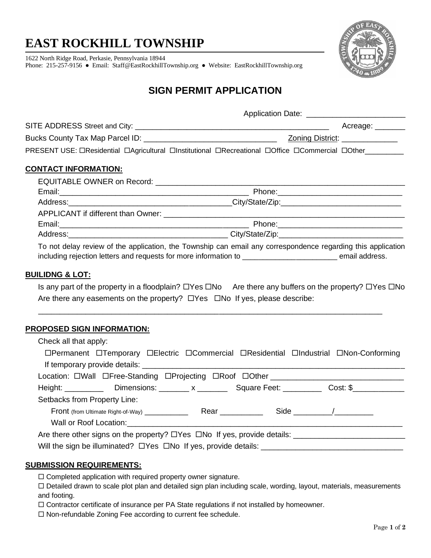# **EAST ROCKHILL TOWNSHIP**

1622 North Ridge Road, Perkasie, Pennsylvania 18944 Phone: 215-257-9156 ● Email: [Staff@EastRockhillTownship.org](mailto:Staff@EastRockhillTownship.org) ● Website: [EastRockhillTownship.org](http://www.eastrockhilltownship.org/)



## **SIGN PERMIT APPLICATION**

|                      | Application Date: ___________________________                                                           |
|----------------------|---------------------------------------------------------------------------------------------------------|
|                      | Acreage: _______                                                                                        |
|                      | Zoning District: _____________                                                                          |
|                      | PRESENT USE: OResidential OAgricultural OInstitutional ORecreational OOffice OCommercial OOther________ |
| CONTACT INFORMATION: |                                                                                                         |
|                      |                                                                                                         |
|                      |                                                                                                         |
|                      |                                                                                                         |
|                      |                                                                                                         |
|                      |                                                                                                         |
|                      | Address: City/State/Zip: City/State/Zip:                                                                |
|                      |                                                                                                         |

To not delay review of the application, the Township can email any correspondence regarding this application including rejection letters and requests for more information to **with the set of the contract of the set of the s** 

### **BUILIDNG & LOT:**

Is any part of the property in a floodplain?  $\Box$  Yes  $\Box$  No Are there any buffers on the property?  $\Box$  Yes  $\Box$  No Are there any easements on the property?  $\Box$  Yes  $\Box$  No If yes, please describe:

\_\_\_\_\_\_\_\_\_\_\_\_\_\_\_\_\_\_\_\_\_\_\_\_\_\_\_\_\_\_\_\_\_\_\_\_\_\_\_\_\_\_\_\_\_\_\_\_\_\_\_\_\_\_\_\_\_\_\_\_\_\_\_\_\_\_\_\_\_\_\_\_\_\_\_\_\_\_\_\_

### **PROPOSED SIGN INFORMATION:**

| Check all that apply:                                                                                     |  |  |
|-----------------------------------------------------------------------------------------------------------|--|--|
| □Permanent □Temporary □Electric □Commercial □Residential □Industrial □Non-Conforming                      |  |  |
|                                                                                                           |  |  |
| Location: OWall OFree-Standing OProjecting ORoof OOther ________________________                          |  |  |
| Height: _______________Dimensions: ________ x _____________Square Feet: ____________Cost: \$_____________ |  |  |
| Setbacks from Property Line:                                                                              |  |  |
|                                                                                                           |  |  |
|                                                                                                           |  |  |
| Are there other signs on the property? OYes ONo If yes, provide details: ___________________________      |  |  |
| Will the sign be illuminated? $\Box$ Yes $\Box$ No If yes, provide details: $\Box$                        |  |  |

### **SUBMISSION REQUIREMENTS:**

 $\Box$  Completed application with required property owner signature.

 Detailed drawn to scale plot plan and detailed sign plan including scale, wording, layout, materials, measurements and footing.

 $\Box$  Contractor certificate of insurance per PA State regulations if not installed by homeowner.

 $\square$  Non-refundable Zoning Fee according to current fee schedule.